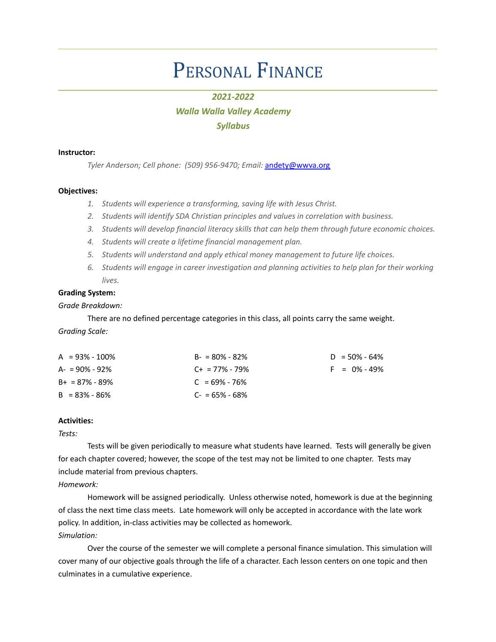# PERSONAL FINANCE

# *2021-2022*

# *Walla Walla Valley Academy Syllabus*

#### **Instructor:**

*Tyler Anderson; Cell phone: (509) 956-9470; Email:* [andety@wwva.org](mailto:andety@wwva.org)

# **Objectives:**

- *1. Students will experience a transforming, saving life with Jesus Christ.*
- *2. Students will identify SDA Christian principles and values in correlation with business.*
- *3. Students will develop financial literacy skills that can help them through future economic choices.*
- *4. Students will create a lifetime financial management plan.*
- *5. Students will understand and apply ethical money management to future life choices.*
- *6. Students will engage in career investigation and planning activities to help plan for their working lives.*

# **Grading System:**

# *Grade Breakdown:*

There are no defined percentage categories in this class, all points carry the same weight.

# *Grading Scale:*

| $A = 93\% - 100\%$ | $B - 80\% - 82\%$   | $D = 50\% - 64\%$ |
|--------------------|---------------------|-------------------|
| $A = 90\% - 92\%$  | $C_{+}$ = 77% - 79% | $F = 0\% - 49\%$  |
| $B+ = 87\% - 89\%$ | $C = 69\% - 76\%$   |                   |
| $B = 83\% - 86\%$  | $C = 65\% - 68\%$   |                   |

# **Activities:**

# *Tests:*

Tests will be given periodically to measure what students have learned. Tests will generally be given for each chapter covered; however, the scope of the test may not be limited to one chapter. Tests may include material from previous chapters.

# *Homework:*

Homework will be assigned periodically. Unless otherwise noted, homework is due at the beginning of class the next time class meets. Late homework will only be accepted in accordance with the late work policy. In addition, in-class activities may be collected as homework. *Simulation:*

Over the course of the semester we will complete a personal finance simulation. This simulation will cover many of our objective goals through the life of a character. Each lesson centers on one topic and then culminates in a cumulative experience.